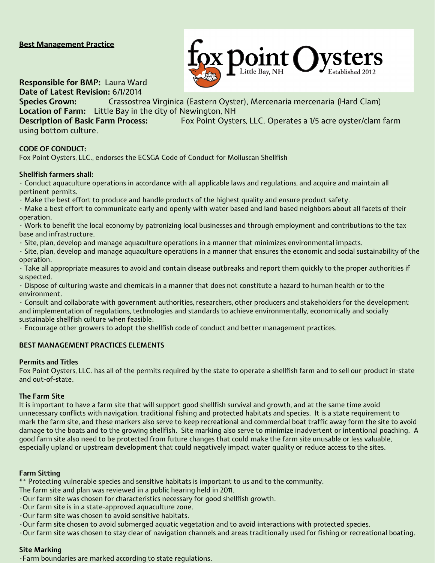# **Best Management Practice**



**Responsible for BMP:** Laura Ward

**Date of Latest Revision:** 6/1/2014 **Species Grown:** Crassostrea Virginica (Eastern Oyster), Mercenaria mercenaria (Hard Clam) **Location of Farm:** Little Bay in the city of Newington, NH

using bottom culture.

**Description of Basic Farm Process:** Fox Point Oysters, LLC. Operates a 1/5 acre oyster/clam farm

## **CODE OF CONDUCT:**

Fox Point Oysters, LLC., endorses the ECSGA Code of Conduct for Molluscan Shellfish

### **Shellfish farmers shall:**

• Conduct aquaculture operations in accordance with all applicable laws and regulations, and acquire and maintain all pertinent permits.

• Make the best effort to produce and handle products of the highest quality and ensure product safety.

• Make a best effort to communicate early and openly with water based and land based neighbors about all facets of their operation.

• Work to benefit the local economy by patronizing local businesses and through employment and contributions to the tax base and infrastructure.

• Site, plan, develop and manage aquaculture operations in a manner that minimizes environmental impacts.

• Site, plan, develop and manage aquaculture operations in a manner that ensures the economic and social sustainability of the operation.

• Take all appropriate measures to avoid and contain disease outbreaks and report them quickly to the proper authorities if suspected.

• Dispose of culturing waste and chemicals in a manner that does not constitute a hazard to human health or to the environment.

• Consult and collaborate with government authorities, researchers, other producers and stakeholders for the development and implementation of regulations, technologies and standards to achieve environmentally, economically and socially sustainable shellfish culture when feasible.

• Encourage other growers to adopt the shellfish code of conduct and better management practices.

## **BEST MANAGEMENT PRACTICES ELEMENTS**

### **Permits and Titles**

Fox Point Oysters, LLC. has all of the permits required by the state to operate a shellfish farm and to sell our product in-state and out-of-state.

### **The Farm Site**

It is important to have a farm site that will support good shellfish survival and growth, and at the same time avoid unnecessary conflicts with navigation, traditional fishing and protected habitats and species. It is a state requirement to mark the farm site, and these markers also serve to keep recreational and commercial boat traffic away form the site to avoid damage to the boats and to the growing shellfish. Site marking also serve to minimize inadvertent or intentional poaching. A good farm site also need to be protected from future changes that could make the farm site unusable or less valuable, especially upland or upstream development that could negatively impact water quality or reduce access to the sites.

## **Farm Sitting**

\*\* Protecting vulnerable species and sensitive habitats is important to us and to the community.

- The farm site and plan was reviewed in a public hearing held in 2011.
- •Our farm site was chosen for characteristics necessary for good shellfish growth.
- •Our farm site is in a state-approved aquaculture zone.
- •Our farm site was chosen to avoid sensitive habitats.
- •Our farm site chosen to avoid submerged aquatic vegetation and to avoid interactions with protected species.

•Our farm site was chosen to stay clear of navigation channels and areas traditionally used for fishing or recreational boating.

### **Site Marking**

•Farm boundaries are marked according to state regulations.